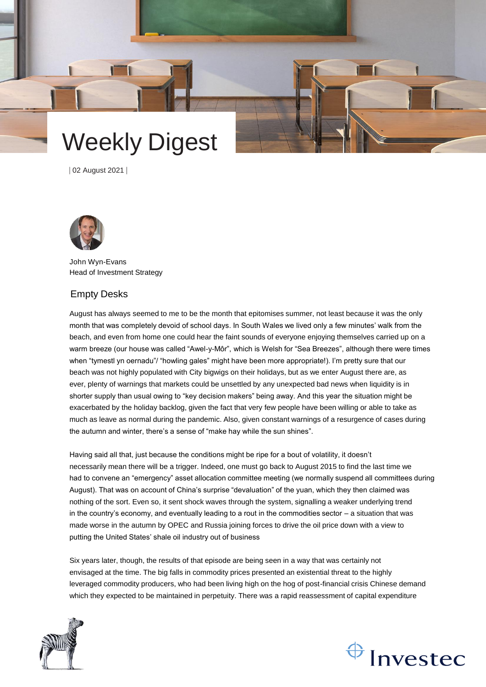

| 02 August 2021 |



John Wyn-Evans Head of Investment Strategy

# Empty Desks

August has always seemed to me to be the month that epitomises summer, not least because it was the only month that was completely devoid of school days. In South Wales we lived only a few minutes' walk from the beach, and even from home one could hear the faint sounds of everyone enjoying themselves carried up on a warm breeze (our house was called "Awel-y-Môr", which is Welsh for "Sea Breezes", although there were times when "tymestl yn oernadu"/ "howling gales" might have been more appropriate!). I'm pretty sure that our beach was not highly populated with City bigwigs on their holidays, but as we enter August there are, as ever, plenty of warnings that markets could be unsettled by any unexpected bad news when liquidity is in shorter supply than usual owing to "key decision makers" being away. And this year the situation might be exacerbated by the holiday backlog, given the fact that very few people have been willing or able to take as much as leave as normal during the pandemic. Also, given constant warnings of a resurgence of cases during the autumn and winter, there's a sense of "make hay while the sun shines".

Having said all that, just because the conditions might be ripe for a bout of volatility, it doesn't necessarily mean there will be a trigger. Indeed, one must go back to August 2015 to find the last time we had to convene an "emergency" asset allocation committee meeting (we normally suspend all committees during August). That was on account of China's surprise "devaluation" of the yuan, which they then claimed was nothing of the sort. Even so, it sent shock waves through the system, signalling a weaker underlying trend in the country's economy, and eventually leading to a rout in the commodities sector – a situation that was made worse in the autumn by OPEC and Russia joining forces to drive the oil price down with a view to putting the United States' shale oil industry out of business

Six years later, though, the results of that episode are being seen in a way that was certainly not envisaged at the time. The big falls in commodity prices presented an existential threat to the highly leveraged commodity producers, who had been living high on the hog of post-financial crisis Chinese demand which they expected to be maintained in perpetuity. There was a rapid reassessment of capital expenditure



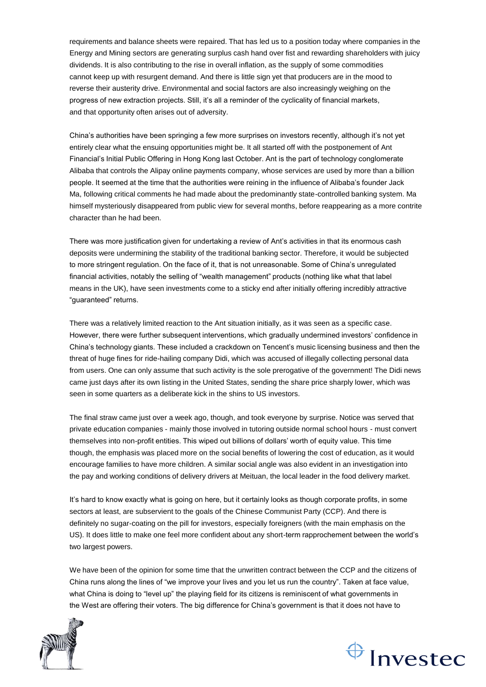requirements and balance sheets were repaired. That has led us to a position today where companies in the Energy and Mining sectors are generating surplus cash hand over fist and rewarding shareholders with juicy dividends. It is also contributing to the rise in overall inflation, as the supply of some commodities cannot keep up with resurgent demand. And there is little sign yet that producers are in the mood to reverse their austerity drive. Environmental and social factors are also increasingly weighing on the progress of new extraction projects. Still, it's all a reminder of the cyclicality of financial markets, and that opportunity often arises out of adversity.

China's authorities have been springing a few more surprises on investors recently, although it's not yet entirely clear what the ensuing opportunities might be. It all started off with the postponement of Ant Financial's Initial Public Offering in Hong Kong last October. Ant is the part of technology conglomerate Alibaba that controls the Alipay online payments company, whose services are used by more than a billion people. It seemed at the time that the authorities were reining in the influence of Alibaba's founder Jack Ma, following critical comments he had made about the predominantly state-controlled banking system. Ma himself mysteriously disappeared from public view for several months, before reappearing as a more contrite character than he had been.

There was more justification given for undertaking a review of Ant's activities in that its enormous cash deposits were undermining the stability of the traditional banking sector. Therefore, it would be subjected to more stringent regulation. On the face of it, that is not unreasonable. Some of China's unregulated financial activities, notably the selling of "wealth management" products (nothing like what that label means in the UK), have seen investments come to a sticky end after initially offering incredibly attractive "guaranteed" returns.

There was a relatively limited reaction to the Ant situation initially, as it was seen as a specific case. However, there were further subsequent interventions, which gradually undermined investors' confidence in China's technology giants. These included a crackdown on Tencent's music licensing business and then the threat of huge fines for ride-hailing company Didi, which was accused of illegally collecting personal data from users. One can only assume that such activity is the sole prerogative of the government! The Didi news came just days after its own listing in the United States, sending the share price sharply lower, which was seen in some quarters as a deliberate kick in the shins to US investors.

The final straw came just over a week ago, though, and took everyone by surprise. Notice was served that private education companies - mainly those involved in tutoring outside normal school hours - must convert themselves into non-profit entities. This wiped out billions of dollars' worth of equity value. This time though, the emphasis was placed more on the social benefits of lowering the cost of education, as it would encourage families to have more children. A similar social angle was also evident in an investigation into the pay and working conditions of delivery drivers at Meituan, the local leader in the food delivery market.

It's hard to know exactly what is going on here, but it certainly looks as though corporate profits, in some sectors at least, are subservient to the goals of the Chinese Communist Party (CCP). And there is definitely no sugar-coating on the pill for investors, especially foreigners (with the main emphasis on the US). It does little to make one feel more confident about any short-term rapprochement between the world's two largest powers.

We have been of the opinion for some time that the unwritten contract between the CCP and the citizens of China runs along the lines of "we improve your lives and you let us run the country". Taken at face value, what China is doing to "level up" the playing field for its citizens is reminiscent of what governments in the West are offering their voters. The big difference for China's government is that it does not have to



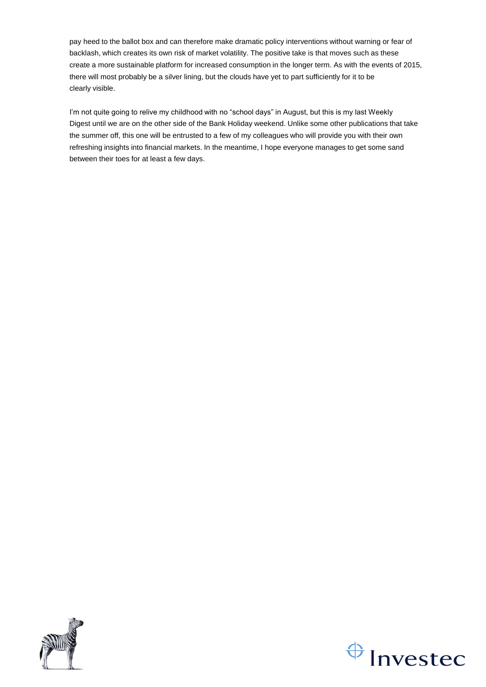pay heed to the ballot box and can therefore make dramatic policy interventions without warning or fear of backlash, which creates its own risk of market volatility. The positive take is that moves such as these create a more sustainable platform for increased consumption in the longer term. As with the events of 2015, there will most probably be a silver lining, but the clouds have yet to part sufficiently for it to be clearly visible.

I'm not quite going to relive my childhood with no "school days" in August, but this is my last Weekly Digest until we are on the other side of the Bank Holiday weekend. Unlike some other publications that take the summer off, this one will be entrusted to a few of my colleagues who will provide you with their own refreshing insights into financial markets. In the meantime, I hope everyone manages to get some sand between their toes for at least a few days.